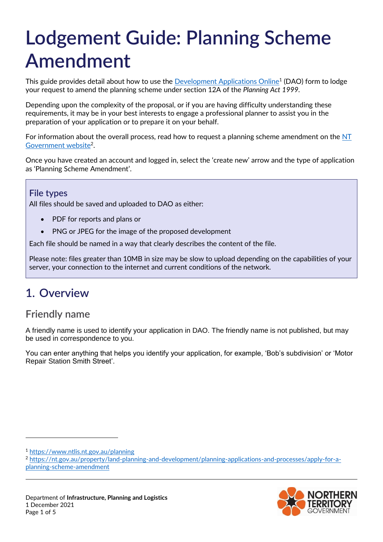# **Lodgement Guide: Planning Scheme Amendment**

This guide provides detail about how to use the <u>Development Applications Online</u><sup>1</sup> (DAO) form to lodge your request to amend the planning scheme under section 12A of the *Planning Act 1999.*

Depending upon the complexity of the proposal, or if you are having difficulty understanding these requirements, it may be in your best interests to engage a professional planner to assist you in the preparation of your application or to prepare it on your behalf.

For information about the overall process, read how to request a planning scheme amendment on the  $NT$ [Government website](https://nt.gov.au/property/land-planning-and-development/planning-applications-and-processes/apply-for-a-planning-scheme-amendment)<sup>2</sup>.

Once you have created an account and logged in, select the 'create new' arrow and the type of application as 'Planning Scheme Amendment'.

#### **File types**

All files should be saved and uploaded to DAO as either:

- PDF for reports and plans or
- PNG or JPEG for the image of the proposed development

Each file should be named in a way that clearly describes the content of the file.

Please note: files greater than 10MB in size may be slow to upload depending on the capabilities of your server, your connection to the internet and current conditions of the network.

## **1. Overview**

## **Friendly name**

A friendly name is used to identify your application in DAO. The friendly name is not published, but may be used in correspondence to you.

You can enter anything that helps you identify your application, for example, 'Bob's subdivision' or 'Motor Repair Station Smith Street'.

-

<sup>2</sup> [https://nt.gov.au/property/land-planning-and-development/planning-applications-and-processes/apply-for-a](https://nt.gov.au/property/land-planning-and-development/planning-applications-and-processes/apply-for-a-planning-scheme-amendment)[planning-scheme-amendment](https://nt.gov.au/property/land-planning-and-development/planning-applications-and-processes/apply-for-a-planning-scheme-amendment)



<sup>1</sup> <https://www.ntlis.nt.gov.au/planning>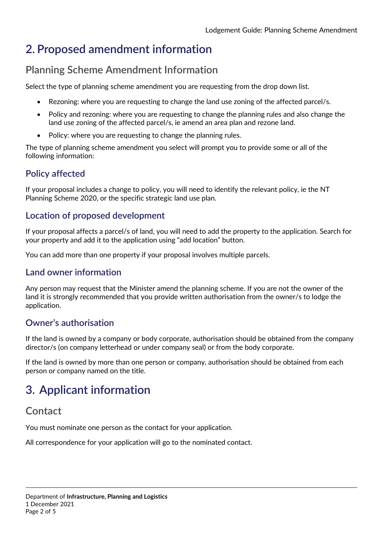# **2. Proposed amendment information**

## **Planning Scheme Amendment Information**

Select the type of planning scheme amendment you are requesting from the drop down list.

- Rezoning: where you are requesting to change the land use zoning of the affected parcel/s.
- Policy and rezoning: where you are requesting to change the planning rules and also change the land use zoning of the affected parcel/s, ie amend an area plan and rezone land.
- Policy: where you are requesting to change the planning rules.

The type of planning scheme amendment you select will prompt you to provide some or all of the following information:

## **Policy affected**

If your proposal includes a change to policy, you will need to identify the relevant policy, ie the NT Planning Scheme 2020, or the specific strategic land use plan.

## **Location of proposed development**

If your proposal affects a parcel/s of land, you will need to add the property to the application. Search for your property and add it to the application using "add location" button.

You can add more than one property if your proposal involves multiple parcels.

#### **Land owner information**

Any person may request that the Minister amend the planning scheme. If you are not the owner of the land it is strongly recommended that you provide written authorisation from the owner/s to lodge the application.

## **Owner's authorisation**

If the land is owned by a company or body corporate, authorisation should be obtained from the company director/s (on company letterhead or under company seal) or from the body corporate.

If the land is owned by more than one person or company, authorisation should be obtained from each person or company named on the title.

# **3. Applicant information**

## **Contact**

You must nominate one person as the contact for your application.

All correspondence for your application will go to the nominated contact.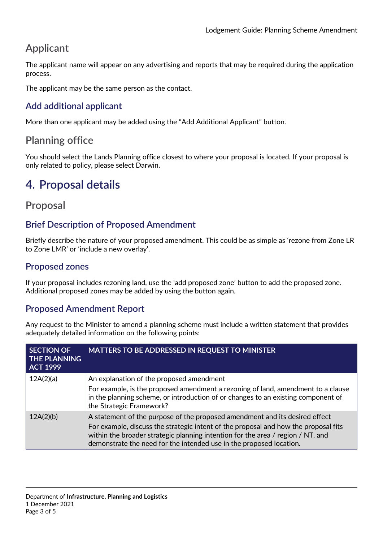## **Applicant**

The applicant name will appear on any advertising and reports that may be required during the application process.

The applicant may be the same person as the contact.

## **Add additional applicant**

More than one applicant may be added using the "Add Additional Applicant" button.

## **Planning office**

You should select the Lands Planning office closest to where your proposal is located. If your proposal is only related to policy, please select Darwin.

# **4. Proposal details**

## **Proposal**

## **Brief Description of Proposed Amendment**

Briefly describe the nature of your proposed amendment. This could be as simple as 'rezone from Zone LR to Zone LMR' or 'include a new overlay'.

## **Proposed zones**

If your proposal includes rezoning land, use the 'add proposed zone' button to add the proposed zone. Additional proposed zones may be added by using the button again.

## **Proposed Amendment Report**

Any request to the Minister to amend a planning scheme must include a written statement that provides adequately detailed information on the following points:

| <b>SECTION OF</b><br><b>THE PLANNING</b><br><b>ACT 1999</b> | <b>MATTERS TO BE ADDRESSED IN REQUEST TO MINISTER</b>                                                                                                                                             |
|-------------------------------------------------------------|---------------------------------------------------------------------------------------------------------------------------------------------------------------------------------------------------|
| 12A(2)(a)                                                   | An explanation of the proposed amendment                                                                                                                                                          |
|                                                             | For example, is the proposed amendment a rezoning of land, amendment to a clause<br>in the planning scheme, or introduction of or changes to an existing component of<br>the Strategic Framework? |
| 12A(2)(b)                                                   | A statement of the purpose of the proposed amendment and its desired effect<br>For example, discuss the strategic intent of the proposal and how the proposal fits                                |
|                                                             | within the broader strategic planning intention for the area / region / NT, and<br>demonstrate the need for the intended use in the proposed location.                                            |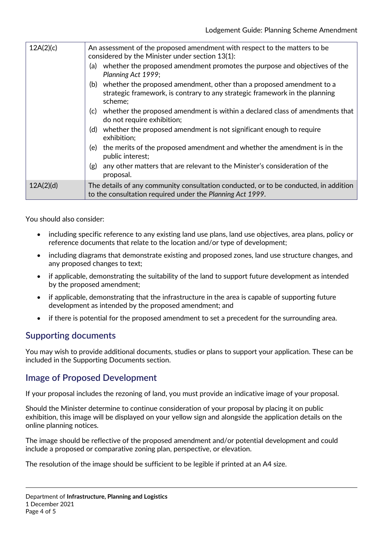| 12A(2)(c) | An assessment of the proposed amendment with respect to the matters to be<br>considered by the Minister under section 13(1):                                       |
|-----------|--------------------------------------------------------------------------------------------------------------------------------------------------------------------|
|           | whether the proposed amendment promotes the purpose and objectives of the<br>(a)<br>Planning Act 1999;                                                             |
|           | (b) whether the proposed amendment, other than a proposed amendment to a<br>strategic framework, is contrary to any strategic framework in the planning<br>scheme; |
|           | whether the proposed amendment is within a declared class of amendments that<br>(c)<br>do not require exhibition;                                                  |
|           | (d) whether the proposed amendment is not significant enough to require<br>exhibition;                                                                             |
|           | the merits of the proposed amendment and whether the amendment is in the<br>(e) -<br>public interest;                                                              |
|           | any other matters that are relevant to the Minister's consideration of the<br>(g)<br>proposal.                                                                     |
| 12A(2)(d) | The details of any community consultation conducted, or to be conducted, in addition<br>to the consultation required under the Planning Act 1999.                  |

You should also consider:

- including specific reference to any existing land use plans, land use objectives, area plans, policy or reference documents that relate to the location and/or type of development;
- including diagrams that demonstrate existing and proposed zones, land use structure changes, and any proposed changes to text;
- if applicable, demonstrating the suitability of the land to support future development as intended by the proposed amendment;
- if applicable, demonstrating that the infrastructure in the area is capable of supporting future development as intended by the proposed amendment; and
- if there is potential for the proposed amendment to set a precedent for the surrounding area.

## **Supporting documents**

You may wish to provide additional documents, studies or plans to support your application. These can be included in the Supporting Documents section.

#### **Image of Proposed Development**

If your proposal includes the rezoning of land, you must provide an indicative image of your proposal.

Should the Minister determine to continue consideration of your proposal by placing it on public exhibition, this image will be displayed on your yellow sign and alongside the application details on the online planning notices.

The image should be reflective of the proposed amendment and/or potential development and could include a proposed or comparative zoning plan, perspective, or elevation.

The resolution of the image should be sufficient to be legible if printed at an A4 size.